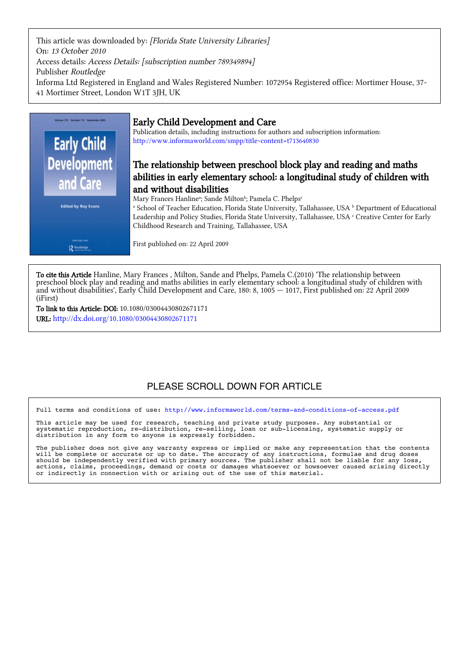This article was downloaded by: [Florida State University Libraries] On: 13 October 2010 Access details: Access Details: [subscription number 789349894] Publisher Routledge Informa Ltd Registered in England and Wales Registered Number: 1072954 Registered office: Mortimer House, 37-41 Mortimer Street, London W1T 3JH, UK



R Routledge

# Early Child Development and Care

Publication details, including instructions for authors and subscription information: http://www.informaworld.com/smpp/title~content=t713640830

# The relationship between preschool block play and reading and maths abilities in early elementary school: a longitudinal study of children with and without disabilities

Mary Frances Hanlineª; Sande Miltonʰ; Pamela C. Phelps<sup>e</sup>

a School of Teacher Education, Florida State University, Tallahassee, USA b Department of Educational Leadership and Policy Studies, Florida State University, Tallahassee, USA  $\cdot$  Creative Center for Early Childhood Research and Training, Tallahassee, USA

First published on: 22 April 2009

To cite this Article Hanline, Mary Frances, Milton, Sande and Phelps, Pamela C.(2010) 'The relationship between preschool block play and reading and maths abilities in early elementary school: a longitudinal study of children with and without disabilities', Early Čhild Development and Care, 180: 8, 1005  $-$  1017, First published on: 22 April 2009  $(iFirst)$ 

To link to this Article: DOI: 10.1080/03004430802671171 URL: http://dx.doi.org/10.1080/03004430802671171

# PLEASE SCROLL DOWN FOR ARTICLE

Full terms and conditions of use:<http://www.informaworld.com/terms-and-conditions-of-access.pdf>

This article may be used for research, teaching and private study purposes. Any substantial or systematic reproduction, re-distribution, re-selling, loan or sub-licensing, systematic supply or distribution, re-distribution, re-selling, loan<br>distribution in any form to anyone is expressly forbidden.

The publisher does not give any warranty express or implied or make any representation that the contents will be complete or accurate or up to date. The accuracy of any instructions, formulae and drug doses should be independently verified with primary sources. The publisher shall not be liable for any loss, actions, claims, proceedings, demand or costs or damages whatsoever or howsoever caused arising directly or indirectly in connection with or arising out of the use of this material.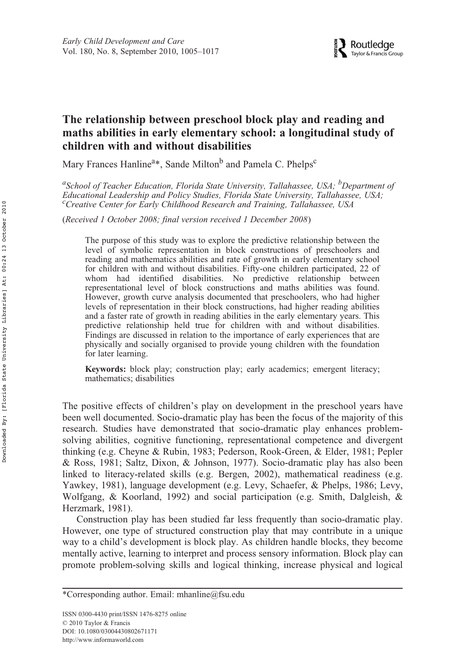# **The relationship between preschool block play and reading and maths abilities in early elementary school: a longitudinal study of children with and without disabilities**

Mary Frances Hanline<sup>a\*</sup>, Sande Milton<sup>b</sup> and Pamela C. Phelps<sup>c</sup>

<sup>a</sup>School of Teacher Education, Florida State University, Tallahassee, USA; <sup>b</sup>Department of *Educational Leadership and Policy Studies, Florida State University, Tallahassee, USA; c Creative Center for Early Childhood Research and Training, Tallahassee, USA*

(Received 1 October 2008; final version received 1 December 2008)

The purpose of this study was to explore the predictive relationship between the level of symbolic representation in block constructions of preschoolers and reading and mathematics abilities and rate of growth in early elementary school for children with and without disabilities. Fifty-one children participated, 22 of whom had identified disabilities. No predictive relationship between representational level of block constructions and maths abilities was found. However, growth curve analysis documented that preschoolers, who had higher levels of representation in their block constructions, had higher reading abilities and a faster rate of growth in reading abilities in the early elementary years. This predictive relationship held true for children with and without disabilities. Findings are discussed in relation to the importance of early experiences that are physically and socially organised to provide young children with the foundation for later learning.

**Keywords:** block play; construction play; early academics; emergent literacy; mathematics; disabilities

The positive effects of children's play on development in the preschool years have been well documented. Socio-dramatic play has been the focus of the majority of this research. Studies have demonstrated that socio-dramatic play enhances problemsolving abilities, cognitive functioning, representational competence and divergent thinking (e.g. Cheyne & Rubin, 1983; Pederson, Rook-Green, & Elder, 1981; Pepler & Ross, 1981; Saltz, Dixon, & Johnson, 1977). Socio-dramatic play has also been linked to literacy-related skills (e.g. Bergen, 2002), mathematical readiness (e.g. Yawkey, 1981), language development (e.g. Levy, Schaefer, & Phelps, 1986; Levy, Wolfgang, & Koorland, 1992) and social participation (e.g. Smith, Dalgleish, & Herzmark, 1981).

Construction play has been studied far less frequently than socio-dramatic play. However, one type of structured construction play that may contribute in a unique way to a child's development is block play. As children handle blocks, they become mentally active, learning to interpret and process sensory information. Block play can promote problem-solving skills and logical thinking, increase physical and logical

<sup>\*</sup>Corresponding author. Email: mhanline@fsu.edu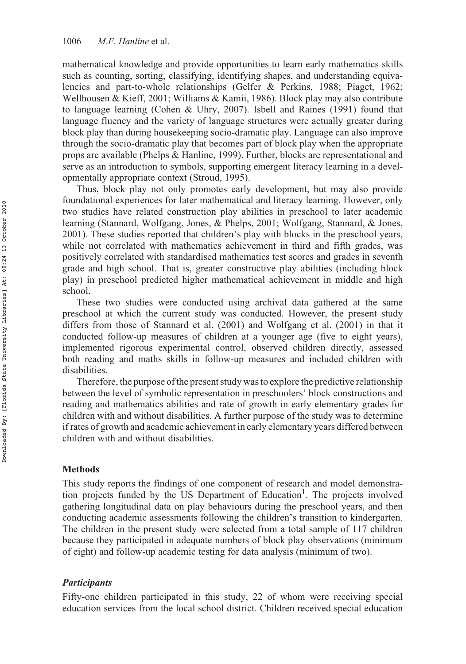mathematical knowledge and provide opportunities to learn early mathematics skills such as counting, sorting, classifying, identifying shapes, and understanding equivalencies and part-to-whole relationships (Gelfer & Perkins, 1988; Piaget, 1962; Wellhousen & Kieff, 2001; Williams & Kamii, 1986). Block play may also contribute to language learning (Cohen & Uhry, 2007). Isbell and Raines (1991) found that language fluency and the variety of language structures were actually greater during block play than during housekeeping socio-dramatic play. Language can also improve through the socio-dramatic play that becomes part of block play when the appropriate props are available (Phelps & Hanline, 1999). Further, blocks are representational and serve as an introduction to symbols, supporting emergent literacy learning in a developmentally appropriate context (Stroud, 1995).

Thus, block play not only promotes early development, but may also provide foundational experiences for later mathematical and literacy learning. However, only two studies have related construction play abilities in preschool to later academic learning (Stannard, Wolfgang, Jones, & Phelps, 2001; Wolfgang, Stannard, & Jones, 2001). These studies reported that children's play with blocks in the preschool years, while not correlated with mathematics achievement in third and fifth grades, was positively correlated with standardised mathematics test scores and grades in seventh grade and high school. That is, greater constructive play abilities (including block play) in preschool predicted higher mathematical achievement in middle and high school.

These two studies were conducted using archival data gathered at the same preschool at which the current study was conducted. However, the present study differs from those of Stannard et al. (2001) and Wolfgang et al. (2001) in that it conducted follow-up measures of children at a younger age (five to eight years), implemented rigorous experimental control, observed children directly, assessed both reading and maths skills in follow-up measures and included children with disabilities.

Therefore, the purpose of the present study was to explore the predictive relationship between the level of symbolic representation in preschoolers' block constructions and reading and mathematics abilities and rate of growth in early elementary grades for children with and without disabilities. A further purpose of the study was to determine if rates of growth and academic achievement in early elementary years differed between children with and without disabilities.

# **Methods**

This study reports the findings of one component of research and model demonstration projects funded by the US Department of Education<sup>1</sup>. The projects involved gathering longitudinal data on play behaviours during the preschool years, and then conducting academic assessments following the children's transition to kindergarten. The children in the present study were selected from a total sample of 117 children because they participated in adequate numbers of block play observations (minimum of eight) and follow-up academic testing for data analysis (minimum of two).

# *Participants*

Fifty-one children participated in this study, 22 of whom were receiving special education services from the local school district. Children received special education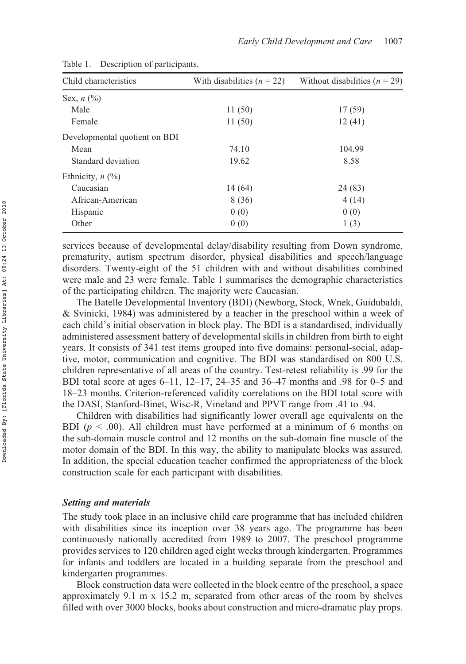| Child characteristics         | With disabilities $(n = 22)$ | Without disabilities $(n = 29)$ |  |
|-------------------------------|------------------------------|---------------------------------|--|
| Sex, $n$ (%)                  |                              |                                 |  |
| Male                          | 11(50)                       | 17(59)                          |  |
| Female                        | 11(50)                       | 12(41)                          |  |
| Developmental quotient on BDI |                              |                                 |  |
| Mean                          | 74.10                        | 104.99                          |  |
| Standard deviation            | 19.62                        | 8.58                            |  |
| Ethnicity, $n$ $(\%)$         |                              |                                 |  |
| Caucasian                     | 14 (64)                      | 24 (83)                         |  |
| African-American              | 8 (36)                       | 4(14)                           |  |
| Hispanic                      | 0(0)                         | 0(0)                            |  |
| Other                         | 0(0)                         | 1(3)                            |  |

#### Table 1. Description of participants.

services because of developmental delay/disability resulting from Down syndrome, prematurity, autism spectrum disorder, physical disabilities and speech/language disorders. Twenty-eight of the 51 children with and without disabilities combined were male and 23 were female. Table 1 summarises the demographic characteristics of the participating children. The majority were Caucasian.

The Batelle Developmental Inventory (BDI) (Newborg, Stock, Wnek, Guidubaldi, & Svinicki, 1984) was administered by a teacher in the preschool within a week of each child's initial observation in block play. The BDI is a standardised, individually administered assessment battery of developmental skills in children from birth to eight years. It consists of 341 test items grouped into five domains: personal-social, adaptive, motor, communication and cognitive. The BDI was standardised on 800 U.S. children representative of all areas of the country. Test-retest reliability is .99 for the BDI total score at ages 6–11, 12–17, 24–35 and 36–47 months and .98 for 0–5 and 18–23 months. Criterion-referenced validity correlations on the BDI total score with the DASI, Stanford-Binet, Wisc-R, Vineland and PPVT range from .41 to .94.

Children with disabilities had significantly lower overall age equivalents on the BDI ( $p < .00$ ). All children must have performed at a minimum of 6 months on the sub-domain muscle control and 12 months on the sub-domain fine muscle of the motor domain of the BDI. In this way, the ability to manipulate blocks was assured. In addition, the special education teacher confirmed the appropriateness of the block construction scale for each participant with disabilities.

# *Setting and materials*

The study took place in an inclusive child care programme that has included children with disabilities since its inception over 38 years ago. The programme has been continuously nationally accredited from 1989 to 2007. The preschool programme provides services to 120 children aged eight weeks through kindergarten. Programmes for infants and toddlers are located in a building separate from the preschool and kindergarten programmes.

Block construction data were collected in the block centre of the preschool, a space approximately 9.1 m x 15.2 m, separated from other areas of the room by shelves filled with over 3000 blocks, books about construction and micro-dramatic play props.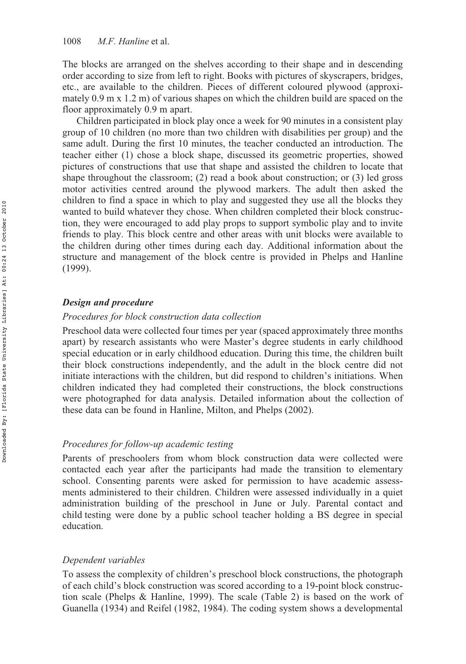The blocks are arranged on the shelves according to their shape and in descending order according to size from left to right. Books with pictures of skyscrapers, bridges, etc., are available to the children. Pieces of different coloured plywood (approximately 0.9 m x 1.2 m) of various shapes on which the children build are spaced on the floor approximately 0.9 m apart.

Children participated in block play once a week for 90 minutes in a consistent play group of 10 children (no more than two children with disabilities per group) and the same adult. During the first 10 minutes, the teacher conducted an introduction. The teacher either (1) chose a block shape, discussed its geometric properties, showed pictures of constructions that use that shape and assisted the children to locate that shape throughout the classroom; (2) read a book about construction; or (3) led gross motor activities centred around the plywood markers. The adult then asked the children to find a space in which to play and suggested they use all the blocks they wanted to build whatever they chose. When children completed their block construction, they were encouraged to add play props to support symbolic play and to invite friends to play. This block centre and other areas with unit blocks were available to the children during other times during each day. Additional information about the structure and management of the block centre is provided in Phelps and Hanline (1999).

#### *Design and procedure*

#### *Procedures for block construction data collection*

Preschool data were collected four times per year (spaced approximately three months apart) by research assistants who were Master's degree students in early childhood special education or in early childhood education. During this time, the children built their block constructions independently, and the adult in the block centre did not initiate interactions with the children, but did respond to children's initiations. When children indicated they had completed their constructions, the block constructions were photographed for data analysis. Detailed information about the collection of these data can be found in Hanline, Milton, and Phelps (2002).

#### *Procedures for follow-up academic testing*

Parents of preschoolers from whom block construction data were collected were contacted each year after the participants had made the transition to elementary school. Consenting parents were asked for permission to have academic assessments administered to their children. Children were assessed individually in a quiet administration building of the preschool in June or July. Parental contact and child testing were done by a public school teacher holding a BS degree in special education.

#### *Dependent variables*

To assess the complexity of children's preschool block constructions, the photograph of each child's block construction was scored according to a 19-point block construction scale (Phelps & Hanline, 1999). The scale (Table 2) is based on the work of Guanella (1934) and Reifel (1982, 1984). The coding system shows a developmental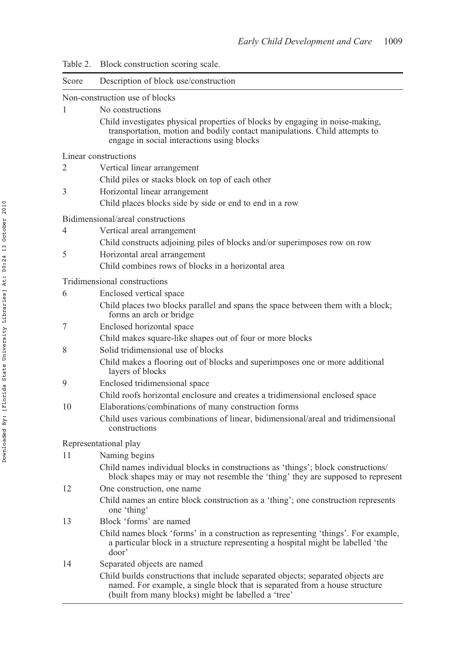| Score | Description of block use/construction                                                                                                                                                                                  |
|-------|------------------------------------------------------------------------------------------------------------------------------------------------------------------------------------------------------------------------|
|       | Non-construction use of blocks                                                                                                                                                                                         |
| 1     | No constructions                                                                                                                                                                                                       |
|       | Child investigates physical properties of blocks by engaging in noise-making,<br>transportation, motion and bodily contact manipulations. Child attempts to<br>engage in social interactions using blocks              |
|       | Linear constructions                                                                                                                                                                                                   |
| 2     | Vertical linear arrangement                                                                                                                                                                                            |
|       | Child piles or stacks block on top of each other                                                                                                                                                                       |
| 3     | Horizontal linear arrangement                                                                                                                                                                                          |
|       | Child places blocks side by side or end to end in a row                                                                                                                                                                |
|       | Bidimensional/areal constructions                                                                                                                                                                                      |
| 4     | Vertical areal arrangement                                                                                                                                                                                             |
|       | Child constructs adjoining piles of blocks and/or superimposes row on row                                                                                                                                              |
| 5     | Horizontal areal arrangement                                                                                                                                                                                           |
|       | Child combines rows of blocks in a horizontal area                                                                                                                                                                     |
|       | Tridimensional constructions                                                                                                                                                                                           |
| 6     | Enclosed vertical space                                                                                                                                                                                                |
|       | Child places two blocks parallel and spans the space between them with a block;<br>forms an arch or bridge                                                                                                             |
| 7     | Enclosed horizontal space                                                                                                                                                                                              |
|       | Child makes square-like shapes out of four or more blocks                                                                                                                                                              |
| 8     | Solid tridimensional use of blocks                                                                                                                                                                                     |
|       | Child makes a flooring out of blocks and superimposes one or more additional<br>layers of blocks                                                                                                                       |
| 9     | Enclosed tridimensional space                                                                                                                                                                                          |
|       | Child roofs horizontal enclosure and creates a tridimensional enclosed space                                                                                                                                           |
| 10    | Elaborations/combinations of many construction forms                                                                                                                                                                   |
|       | Child uses various combinations of linear, bidimensional/areal and tridimensional<br>constructions                                                                                                                     |
|       | Representational play                                                                                                                                                                                                  |
| 11    | Naming begins                                                                                                                                                                                                          |
|       | Child names individual blocks in constructions as 'things'; block constructions/<br>block shapes may or may not resemble the 'thing' they are supposed to represent                                                    |
| 12    | One construction, one name                                                                                                                                                                                             |
|       | Child names an entire block construction as a 'thing'; one construction represents<br>one 'thing'                                                                                                                      |
| 13    | Block 'forms' are named                                                                                                                                                                                                |
|       | Child names block 'forms' in a construction as representing 'things'. For example,<br>a particular block in a structure representing a hospital might be labelled 'the<br>door'                                        |
| 14    | Separated objects are named                                                                                                                                                                                            |
|       | Child builds constructions that include separated objects; separated objects are<br>named. For example, a single block that is separated from a house structure<br>(built from many blocks) might be labelled a 'tree' |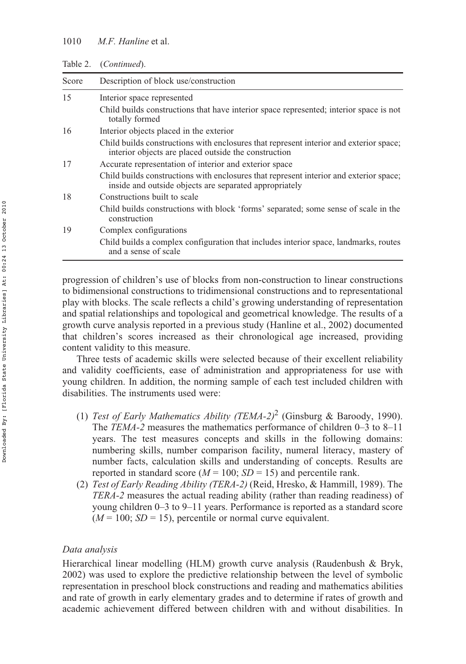# 1010 *M.F. Hanline* et al.

Table 2. (*Continued*).

| Score | Description of block use/construction                                                                                                            |
|-------|--------------------------------------------------------------------------------------------------------------------------------------------------|
| 15    | Interior space represented                                                                                                                       |
|       | Child builds constructions that have interior space represented; interior space is not<br>totally formed                                         |
| 16    | Interior objects placed in the exterior                                                                                                          |
|       | Child builds constructions with enclosures that represent interior and exterior space;<br>interior objects are placed outside the construction   |
| 17    | Accurate representation of interior and exterior space                                                                                           |
|       | Child builds constructions with enclosures that represent interior and exterior space;<br>inside and outside objects are separated appropriately |
| 18    | Constructions built to scale                                                                                                                     |
|       | Child builds constructions with block 'forms' separated; some sense of scale in the<br>construction                                              |
| 19    | Complex configurations                                                                                                                           |
|       | Child builds a complex configuration that includes interior space, landmarks, routes<br>and a sense of scale                                     |

progression of children's use of blocks from non-construction to linear constructions to bidimensional constructions to tridimensional constructions and to representational play with blocks. The scale reflects a child's growing understanding of representation and spatial relationships and topological and geometrical knowledge. The results of a growth curve analysis reported in a previous study (Hanline et al., 2002) documented that children's scores increased as their chronological age increased, providing content validity to this measure.

Three tests of academic skills were selected because of their excellent reliability and validity coefficients, ease of administration and appropriateness for use with young children. In addition, the norming sample of each test included children with disabilities. The instruments used were:

- (1) *Test of Early Mathematics Ability (TEMA-2)*<sup>2</sup> (Ginsburg & Baroody, 1990). The *TEMA-2* measures the mathematics performance of children 0–3 to 8–11 years. The test measures concepts and skills in the following domains: numbering skills, number comparison facility, numeral literacy, mastery of number facts, calculation skills and understanding of concepts. Results are reported in standard score ( $M = 100$ ;  $SD = 15$ ) and percentile rank.
- (2) *Test of Early Reading Ability (TERA-2)* (Reid, Hresko, & Hammill, 1989). The *TERA-2* measures the actual reading ability (rather than reading readiness) of young children 0–3 to 9–11 years. Performance is reported as a standard score  $(M = 100; SD = 15)$ , percentile or normal curve equivalent.

# *Data analysis*

Hierarchical linear modelling (HLM) growth curve analysis (Raudenbush & Bryk, 2002) was used to explore the predictive relationship between the level of symbolic representation in preschool block constructions and reading and mathematics abilities and rate of growth in early elementary grades and to determine if rates of growth and academic achievement differed between children with and without disabilities. In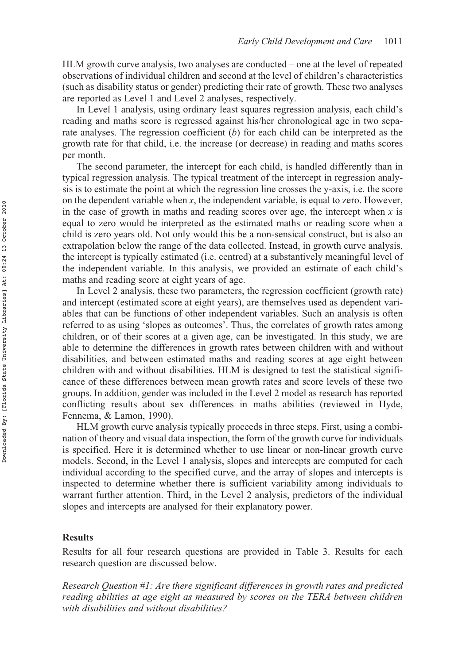HLM growth curve analysis, two analyses are conducted – one at the level of repeated observations of individual children and second at the level of children's characteristics (such as disability status or gender) predicting their rate of growth. These two analyses are reported as Level 1 and Level 2 analyses, respectively.

In Level 1 analysis, using ordinary least squares regression analysis, each child's reading and maths score is regressed against his/her chronological age in two separate analyses. The regression coefficient (*b*) for each child can be interpreted as the growth rate for that child, i.e. the increase (or decrease) in reading and maths scores per month.

The second parameter, the intercept for each child, is handled differently than in typical regression analysis. The typical treatment of the intercept in regression analysis is to estimate the point at which the regression line crosses the y-axis, i.e. the score on the dependent variable when *x*, the independent variable, is equal to zero. However, in the case of growth in maths and reading scores over age, the intercept when *x* is equal to zero would be interpreted as the estimated maths or reading score when a child is zero years old. Not only would this be a non-sensical construct, but is also an extrapolation below the range of the data collected. Instead, in growth curve analysis, the intercept is typically estimated (i.e. centred) at a substantively meaningful level of the independent variable. In this analysis, we provided an estimate of each child's maths and reading score at eight years of age.

In Level 2 analysis, these two parameters, the regression coefficient (growth rate) and intercept (estimated score at eight years), are themselves used as dependent variables that can be functions of other independent variables. Such an analysis is often referred to as using 'slopes as outcomes'. Thus, the correlates of growth rates among children, or of their scores at a given age, can be investigated. In this study, we are able to determine the differences in growth rates between children with and without disabilities, and between estimated maths and reading scores at age eight between children with and without disabilities. HLM is designed to test the statistical significance of these differences between mean growth rates and score levels of these two groups. In addition, gender was included in the Level 2 model as research has reported conflicting results about sex differences in maths abilities (reviewed in Hyde, Fennema, & Lamon, 1990).

HLM growth curve analysis typically proceeds in three steps. First, using a combination of theory and visual data inspection, the form of the growth curve for individuals is specified. Here it is determined whether to use linear or non-linear growth curve models. Second, in the Level 1 analysis, slopes and intercepts are computed for each individual according to the specified curve, and the array of slopes and intercepts is inspected to determine whether there is sufficient variability among individuals to warrant further attention. Third, in the Level 2 analysis, predictors of the individual slopes and intercepts are analysed for their explanatory power.

#### **Results**

Results for all four research questions are provided in Table 3. Results for each research question are discussed below.

*Research Question #1: Are there significant differences in growth rates and predicted reading abilities at age eight as measured by scores on the TERA between children with disabilities and without disabilities?*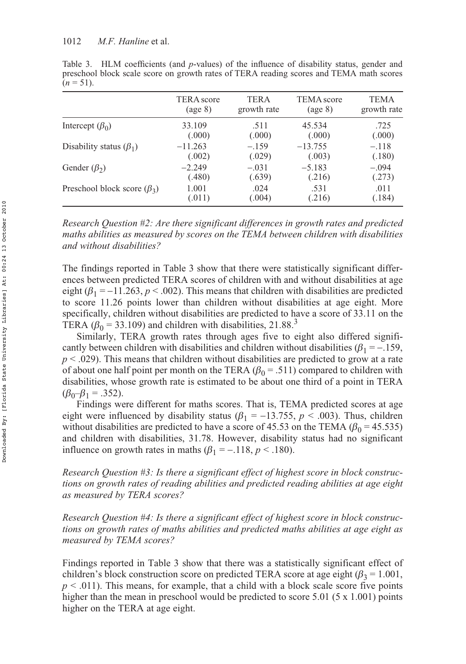|                                   | <b>TERA</b> score | <b>TERA</b> | TEMA score        | <b>TEMA</b> |
|-----------------------------------|-------------------|-------------|-------------------|-------------|
|                                   | $(\text{age } 8)$ | growth rate | $(\text{age } 8)$ | growth rate |
| Intercept $(\beta_0)$             | 33.109            | .511        | 45.534            | .725        |
|                                   | (.000)            | (.000)      | (.000)            | (.000)      |
| Disability status $(\beta_1)$     | $-11.263$         | $-.159$     | $-13.755$         | $-.118$     |
|                                   | (.002)            | (.029)      | (.003)            | (.180)      |
| Gender $(\beta_2)$                | $-2.249$          | $-.031$     | $-5.183$          | $-.094$     |
|                                   | (.480)            | (.639)      | (.216)            | (.273)      |
| Preschool block score $(\beta_3)$ | 1.001             | .024        | .531              | .011        |
|                                   | (.011)            | (.004)      | (.216)            | (.184)      |

Table 3. HLM coefficients (and *p*-values) of the influence of disability status, gender and preschool block scale score on growth rates of TERA reading scores and TEMA math scores  $(n = 51)$ .

*Research Question #2: Are there significant differences in growth rates and predicted maths abilities as measured by scores on the TEMA between children with disabilities and without disabilities?*

The findings reported in Table 3 show that there were statistically significant differences between predicted TERA scores of children with and without disabilities at age eight  $(\beta_1 = -11.263, p < .002)$ . This means that children with disabilities are predicted to score 11.26 points lower than children without disabilities at age eight. More specifically, children without disabilities are predicted to have a score of 33.11 on the TERA ( $\beta_0$  = 33.109) and children with disabilities, 21.88.<sup>3</sup>

Similarly, TERA growth rates through ages five to eight also differed significantly between children with disabilities and children without disabilities ( $\beta_1 = -.159$ ,  $p < .029$ ). This means that children without disabilities are predicted to grow at a rate of about one half point per month on the TERA  $(\beta_0 = .511)$  compared to children with disabilities, whose growth rate is estimated to be about one third of a point in TERA  $(\beta_0 - \beta_1 = .352)$ .

Findings were different for maths scores. That is, TEMA predicted scores at age eight were influenced by disability status ( $\beta_1 = -13.755$ ,  $p < .003$ ). Thus, children without disabilities are predicted to have a score of 45.53 on the TEMA ( $\beta_0$  = 45.535) and children with disabilities, 31.78. However, disability status had no significant influence on growth rates in maths  $(\beta_1 = -.118, p < .180)$ .

*Research Question #3: Is there a significant effect of highest score in block constructions on growth rates of reading abilities and predicted reading abilities at age eight as measured by TERA scores?*

*Research Question #4: Is there a significant effect of highest score in block constructions on growth rates of maths abilities and predicted maths abilities at age eight as measured by TEMA scores?*

Findings reported in Table 3 show that there was a statistically significant effect of children's block construction score on predicted TERA score at age eight ( $\beta_3 = 1.001$ ,  $p \leq 0.011$ ). This means, for example, that a child with a block scale score five points higher than the mean in preschool would be predicted to score 5.01 (5 x 1.001) points higher on the TERA at age eight.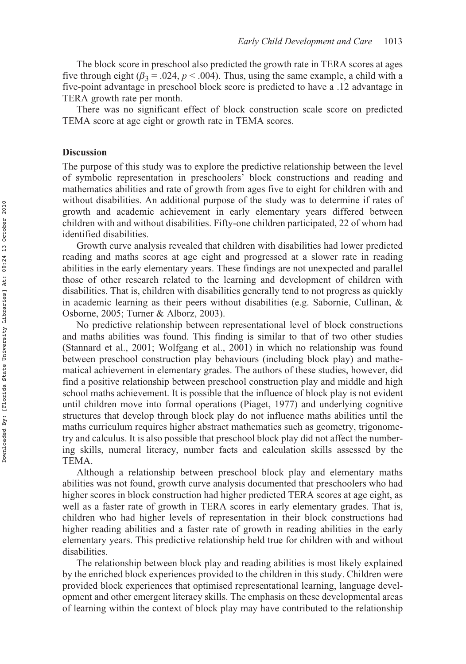The block score in preschool also predicted the growth rate in TERA scores at ages five through eight ( $\beta_3$  = .024,  $p$  < .004). Thus, using the same example, a child with a five-point advantage in preschool block score is predicted to have a .12 advantage in TERA growth rate per month.

There was no significant effect of block construction scale score on predicted TEMA score at age eight or growth rate in TEMA scores.

#### **Discussion**

The purpose of this study was to explore the predictive relationship between the level of symbolic representation in preschoolers' block constructions and reading and mathematics abilities and rate of growth from ages five to eight for children with and without disabilities. An additional purpose of the study was to determine if rates of growth and academic achievement in early elementary years differed between children with and without disabilities. Fifty-one children participated, 22 of whom had identified disabilities.

Growth curve analysis revealed that children with disabilities had lower predicted reading and maths scores at age eight and progressed at a slower rate in reading abilities in the early elementary years. These findings are not unexpected and parallel those of other research related to the learning and development of children with disabilities. That is, children with disabilities generally tend to not progress as quickly in academic learning as their peers without disabilities (e.g. Sabornie, Cullinan, & Osborne, 2005; Turner & Alborz, 2003).

No predictive relationship between representational level of block constructions and maths abilities was found. This finding is similar to that of two other studies (Stannard et al., 2001; Wolfgang et al., 2001) in which no relationship was found between preschool construction play behaviours (including block play) and mathematical achievement in elementary grades. The authors of these studies, however, did find a positive relationship between preschool construction play and middle and high school maths achievement. It is possible that the influence of block play is not evident until children move into formal operations (Piaget, 1977) and underlying cognitive structures that develop through block play do not influence maths abilities until the maths curriculum requires higher abstract mathematics such as geometry, trigonometry and calculus. It is also possible that preschool block play did not affect the numbering skills, numeral literacy, number facts and calculation skills assessed by the TEMA.

Although a relationship between preschool block play and elementary maths abilities was not found, growth curve analysis documented that preschoolers who had higher scores in block construction had higher predicted TERA scores at age eight, as well as a faster rate of growth in TERA scores in early elementary grades. That is, children who had higher levels of representation in their block constructions had higher reading abilities and a faster rate of growth in reading abilities in the early elementary years. This predictive relationship held true for children with and without disabilities.

The relationship between block play and reading abilities is most likely explained by the enriched block experiences provided to the children in this study. Children were provided block experiences that optimised representational learning, language development and other emergent literacy skills. The emphasis on these developmental areas of learning within the context of block play may have contributed to the relationship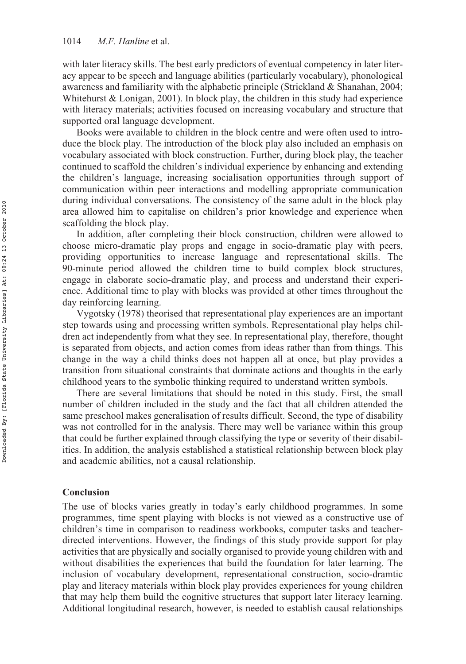with later literacy skills. The best early predictors of eventual competency in later literacy appear to be speech and language abilities (particularly vocabulary), phonological awareness and familiarity with the alphabetic principle (Strickland & Shanahan, 2004; Whitehurst  $\&$  Lonigan, 2001). In block play, the children in this study had experience with literacy materials; activities focused on increasing vocabulary and structure that supported oral language development.

Books were available to children in the block centre and were often used to introduce the block play. The introduction of the block play also included an emphasis on vocabulary associated with block construction. Further, during block play, the teacher continued to scaffold the children's individual experience by enhancing and extending the children's language, increasing socialisation opportunities through support of communication within peer interactions and modelling appropriate communication during individual conversations. The consistency of the same adult in the block play area allowed him to capitalise on children's prior knowledge and experience when scaffolding the block play.

In addition, after completing their block construction, children were allowed to choose micro-dramatic play props and engage in socio-dramatic play with peers, providing opportunities to increase language and representational skills. The 90-minute period allowed the children time to build complex block structures, engage in elaborate socio-dramatic play, and process and understand their experience. Additional time to play with blocks was provided at other times throughout the day reinforcing learning.

Vygotsky (1978) theorised that representational play experiences are an important step towards using and processing written symbols. Representational play helps children act independently from what they see. In representational play, therefore, thought is separated from objects, and action comes from ideas rather than from things. This change in the way a child thinks does not happen all at once, but play provides a transition from situational constraints that dominate actions and thoughts in the early childhood years to the symbolic thinking required to understand written symbols.

There are several limitations that should be noted in this study. First, the small number of children included in the study and the fact that all children attended the same preschool makes generalisation of results difficult. Second, the type of disability was not controlled for in the analysis. There may well be variance within this group that could be further explained through classifying the type or severity of their disabilities. In addition, the analysis established a statistical relationship between block play and academic abilities, not a causal relationship.

## **Conclusion**

The use of blocks varies greatly in today's early childhood programmes. In some programmes, time spent playing with blocks is not viewed as a constructive use of children's time in comparison to readiness workbooks, computer tasks and teacherdirected interventions. However, the findings of this study provide support for play activities that are physically and socially organised to provide young children with and without disabilities the experiences that build the foundation for later learning. The inclusion of vocabulary development, representational construction, socio-dramtic play and literacy materials within block play provides experiences for young children that may help them build the cognitive structures that support later literacy learning. Additional longitudinal research, however, is needed to establish causal relationships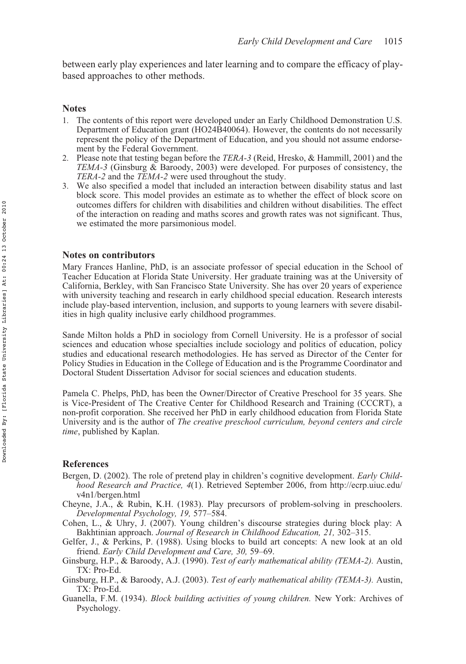between early play experiences and later learning and to compare the efficacy of playbased approaches to other methods.

## **Notes**

- 1. The contents of this report were developed under an Early Childhood Demonstration U.S. Department of Education grant (HO24B40064). However, the contents do not necessarily represent the policy of the Department of Education, and you should not assume endorsement by the Federal Government.
- 2. Please note that testing began before the *TERA-3* (Reid, Hresko, & Hammill, 2001) and the *TEMA-3* (Ginsburg & Baroody, 2003) were developed. For purposes of consistency, the *TERA-2* and the *TEMA-2* were used throughout the study.
- 3. We also specified a model that included an interaction between disability status and last block score. This model provides an estimate as to whether the effect of block score on outcomes differs for children with disabilities and children without disabilities. The effect of the interaction on reading and maths scores and growth rates was not significant. Thus, we estimated the more parsimonious model.

# **Notes on contributors**

Mary Frances Hanline, PhD, is an associate professor of special education in the School of Teacher Education at Florida State University. Her graduate training was at the University of California, Berkley, with San Francisco State University. She has over 20 years of experience with university teaching and research in early childhood special education. Research interests include play-based intervention, inclusion, and supports to young learners with severe disabilities in high quality inclusive early childhood programmes.

Sande Milton holds a PhD in sociology from Cornell University. He is a professor of social sciences and education whose specialties include sociology and politics of education, policy studies and educational research methodologies. He has served as Director of the Center for Policy Studies in Education in the College of Education and is the Programme Coordinator and Doctoral Student Dissertation Advisor for social sciences and education students.

Pamela C. Phelps, PhD, has been the Owner/Director of Creative Preschool for 35 years. She is Vice-President of The Creative Center for Childhood Research and Training (CCCRT), a non-profit corporation. She received her PhD in early childhood education from Florida State University and is the author of *The creative preschool curriculum, beyond centers and circle time*, published by Kaplan.

#### **References**

- Bergen, D. (2002). The role of pretend play in children's cognitive development. *Early Childhood Research and Practice, 4*(1). Retrieved September 2006, from http://ecrp.uiuc.edu/ v4n1/bergen.html
- Cheyne, J.A., & Rubin, K.H. (1983). Play precursors of problem-solving in preschoolers. *Developmental Psychology, 19,* 577–584.
- Cohen, L., & Uhry, J. (2007). Young children's discourse strategies during block play: A Bakhtinian approach. *Journal of Research in Childhood Education, 21,* 302–315.
- Gelfer, J., & Perkins, P. (1988). Using blocks to build art concepts: A new look at an old friend. *Early Child Development and Care, 30,* 59–69.
- Ginsburg, H.P., & Baroody, A.J. (1990). *Test of early mathematical ability (TEMA-2).* Austin, TX: Pro-Ed.
- Ginsburg, H.P., & Baroody, A.J. (2003). *Test of early mathematical ability (TEMA-3).* Austin, TX: Pro-Ed.
- Guanella, F.M. (1934). *Block building activities of young children.* New York: Archives of Psychology.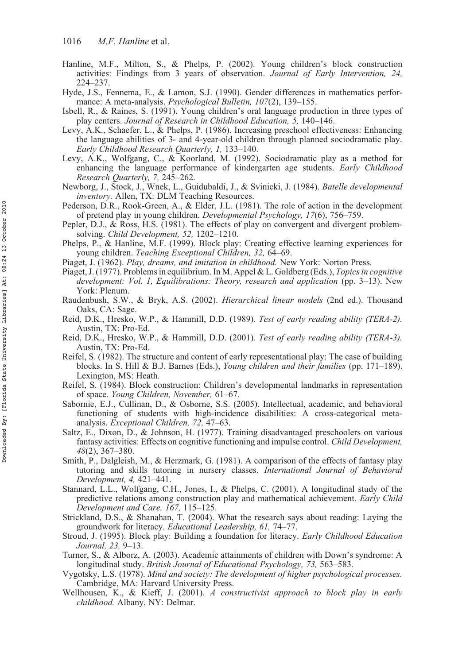- Hanline, M.F., Milton, S., & Phelps, P. (2002). Young children's block construction activities: Findings from 3 years of observation. *Journal of Early Intervention, 24,* 224–237.
- Hyde, J.S., Fennema, E., & Lamon, S.J. (1990). Gender differences in mathematics performance: A meta-analysis. *Psychological Bulletin, 107*(2), 139–155.
- Isbell, R., & Raines, S. (1991). Young children's oral language production in three types of play centers. *Journal of Research in Childhood Education, 5,* 140–146.
- Levy, A.K., Schaefer, L., & Phelps, P. (1986). Increasing preschool effectiveness: Enhancing the language abilities of 3- and 4-year-old children through planned sociodramatic play. *Early Childhood Research Quarterly, 1,* 133–140.
- Levy, A.K., Wolfgang, C., & Koorland, M. (1992). Sociodramatic play as a method for enhancing the language performance of kindergarten age students. *Early Childhood Research Quarterly, 7,* 245–262.
- Newborg, J., Stock, J., Wnek, L., Guidubaldi, J., & Svinicki, J. (1984). *Batelle developmental inventory.* Allen, TX: DLM Teaching Resources.
- Pederson, D.R., Rook-Green, A., & Elder, J.L. (1981). The role of action in the development of pretend play in young children. *Developmental Psychology, 17*(6), 756–759.
- Pepler, D.J., & Ross, H.S. (1981). The effects of play on convergent and divergent problemsolving. *Child Development, 52,* 1202–1210.
- Phelps, P., & Hanline, M.F. (1999). Block play: Creating effective learning experiences for young children. *Teaching Exceptional Children, 32,* 64–69.
- Piaget, J. (1962). *Play, dreams, and imitation in childhood.* New York: Norton Press.
- Piaget, J. (1977). Problems in equilibrium. In M. Appel & L. Goldberg (Eds.), *Topics in cognitive development: Vol. 1, Equilibrations: Theory, research and application* (pp. 3–13). New York: Plenum.
- Raudenbush, S.W., & Bryk, A.S. (2002). *Hierarchical linear models* (2nd ed.). Thousand Oaks, CA: Sage.
- Reid, D.K., Hresko, W.P., & Hammill, D.D. (1989). *Test of early reading ability (TERA-2).* Austin, TX: Pro-Ed.
- Reid, D.K., Hresko, W.P., & Hammill, D.D. (2001). *Test of early reading ability (TERA-3).* Austin, TX: Pro-Ed.
- Reifel, S. (1982). The structure and content of early representational play: The case of building blocks. In S. Hill & B.J. Barnes (Eds.), *Young children and their families* (pp. 171–189). Lexington, MS: Heath.
- Reifel, S. (1984). Block construction: Children's developmental landmarks in representation of space. *Young Children, November,* 61–67.
- Sabornie, E.J., Cullinan, D., & Osborne, S.S. (2005). Intellectual, academic, and behavioral functioning of students with high-incidence disabilities: A cross-categorical metaanalysis. *Exceptional Children, 72,* 47–63.
- Saltz, E., Dixon, D., & Johnson, H. (1977). Training disadvantaged preschoolers on various fantasy activities: Effects on cognitive functioning and impulse control. *Child Development, 48*(2), 367–380.
- Smith, P., Dalgleish, M., & Herzmark, G. (1981). A comparison of the effects of fantasy play tutoring and skills tutoring in nursery classes. *International Journal of Behavioral Development, 4,* 421–441.
- Stannard, L.L., Wolfgang, C.H., Jones, I., & Phelps, C. (2001). A longitudinal study of the predictive relations among construction play and mathematical achievement. *Early Child Development and Care, 167,* 115–125.
- Strickland, D.S., & Shanahan, T. (2004). What the research says about reading: Laying the groundwork for literacy. *Educational Leadership, 61,* 74–77.
- Stroud, J. (1995). Block play: Building a foundation for literacy. *Early Childhood Education Journal, 23,* 9–13.
- Turner, S., & Alborz, A. (2003). Academic attainments of children with Down's syndrome: A longitudinal study. *British Journal of Educational Psychology, 73,* 563–583.
- Vygotsky, L.S. (1978). *Mind and society: The development of higher psychological processes.* Cambridge, MA: Harvard University Press.
- Wellhousen, K., & Kieff, J. (2001). *A constructivist approach to block play in early childhood.* Albany, NY: Delmar.